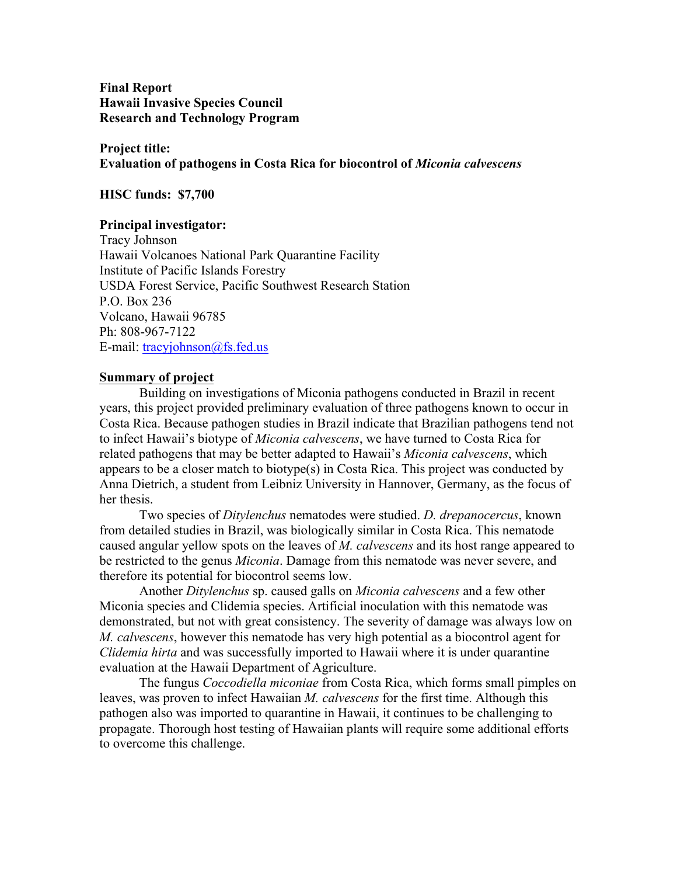**Final Report Hawaii Invasive Species Council Research and Technology Program**

**Project title: Evaluation of pathogens in Costa Rica for biocontrol of** *Miconia calvescens*

**HISC funds: \$7,700**

## **Principal investigator:**

Tracy Johnson Hawaii Volcanoes National Park Quarantine Facility Institute of Pacific Islands Forestry USDA Forest Service, Pacific Southwest Research Station P.O. Box 236 Volcano, Hawaii 96785 Ph: 808-967-7122 E-mail: tracyjohnson@fs.fed.us

## **Summary of project**

Building on investigations of Miconia pathogens conducted in Brazil in recent years, this project provided preliminary evaluation of three pathogens known to occur in Costa Rica. Because pathogen studies in Brazil indicate that Brazilian pathogens tend not to infect Hawaii's biotype of *Miconia calvescens*, we have turned to Costa Rica for related pathogens that may be better adapted to Hawaii's *Miconia calvescens*, which appears to be a closer match to biotype(s) in Costa Rica. This project was conducted by Anna Dietrich, a student from Leibniz University in Hannover, Germany, as the focus of her thesis.

Two species of *Ditylenchus* nematodes were studied. *D. drepanocercus*, known from detailed studies in Brazil, was biologically similar in Costa Rica. This nematode caused angular yellow spots on the leaves of *M. calvescens* and its host range appeared to be restricted to the genus *Miconia*. Damage from this nematode was never severe, and therefore its potential for biocontrol seems low.

Another *Ditylenchus* sp. caused galls on *Miconia calvescens* and a few other Miconia species and Clidemia species. Artificial inoculation with this nematode was demonstrated, but not with great consistency. The severity of damage was always low on *M. calvescens*, however this nematode has very high potential as a biocontrol agent for *Clidemia hirta* and was successfully imported to Hawaii where it is under quarantine evaluation at the Hawaii Department of Agriculture.

The fungus *Coccodiella miconiae* from Costa Rica, which forms small pimples on leaves, was proven to infect Hawaiian *M. calvescens* for the first time. Although this pathogen also was imported to quarantine in Hawaii, it continues to be challenging to propagate. Thorough host testing of Hawaiian plants will require some additional efforts to overcome this challenge.